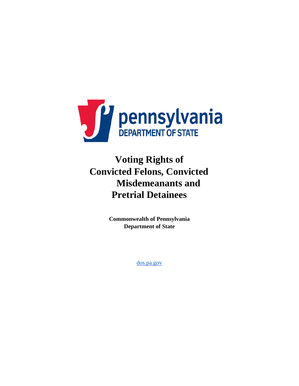

# **Voting Rights of Convicted Felons, Convicted Misdemeanants and Pretrial Detainees**

**Commonwealth of Pennsylvania Department of State** 

[dos.pa.gov](http://www.dos.pa.gov/)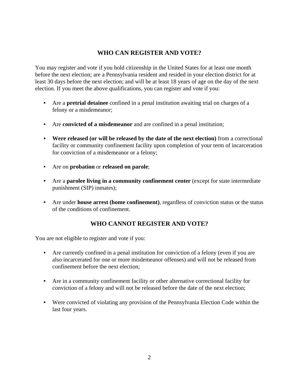## **WHO CAN REGISTER AND VOTE?**

You may register and vote if you hold citizenship in the United States for at least one month before the next election; are a Pennsylvania resident and resided in your election district for at least 30 days before the next election; and will be at least 18 years of age on the day of the next election. If you meet the above qualifications, you can register and vote if you:

- Are a **pretrial detainee** confined in a penal institution awaiting trial on charges of a felony or a misdemeanor;
- Are **convicted of a misdemeanor** and are confined in a penal institution;
- **Were released (or will be released by the date of the next election)** from a correctional facility or community confinement facility upon completion of your term of incarceration for conviction of a misdemeanor or a felony;
- Are on **probation** or **released on parole**;
- Are a **parolee living in a community confinement center** (except for state intermediate punishment (SIP) inmates);
- Are under **house arrest (home confinement)**, regardless of conviction status or the status of the conditions of confinement.

# **WHO CANNOT REGISTER AND VOTE?**

You are not eligible to register and vote if you:

- Are currently confined in a penal institution for conviction of a felony (even if you are also incarcerated for one or more misdemeanor offenses) and will not be released from confinement before the next election;
- Are in a community confinement facility or other alternative correctional facility for conviction of a felony and will not be released before the date of the next election;
- Were convicted of violating any provision of the Pennsylvania Election Code within the last four years.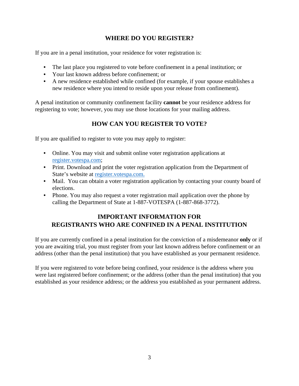## **WHERE DO YOU REGISTER?**

If you are in a penal institution, your residence for voter registration is:

- The last place you registered to vote before confinement in a penal institution; or
- Your last known address before confinement; or
- A new residence established while confined (for example, if your spouse establishes a new residence where you intend to reside upon your release from confinement).

A penal institution or community confinement facility **cannot** be your residence address for registering to vote; however, you may use those locations for your mailing address.

# **HOW CAN YOU REGISTER TO VOTE?**

If you are qualified to register to vote you may apply to register:

- Online. You may visit and submit online voter registration applications at [register.votespa.com;](http://www.register.votespa.com/)
- Print. Download and print the voter registration application from the Department of State's website at [register.votespa.com.](http://www.register.votespa.com/)
- Mail. You can obtain a voter registration application by contacting your county board of elections.
- Phone. You may also request a voter registration mail application over the phone by calling the Department of State at 1-887-VOTESPA (1-887-868-3772).

## **IMPORTANT INFORMATION FOR REGISTRANTS WHO ARE CONFINED IN A PENAL INSTITUTION**

If you are currently confined in a penal institution for the conviction of a misdemeanor **only** or if you are awaiting trial, you must register from your last known address before confinement or an address (other than the penal institution) that you have established as your permanent residence.

If you were registered to vote before being confined, your residence is the address where you were last registered before confinement; or the address (other than the penal institution) that you established as your residence address; or the address you established as your permanent address.